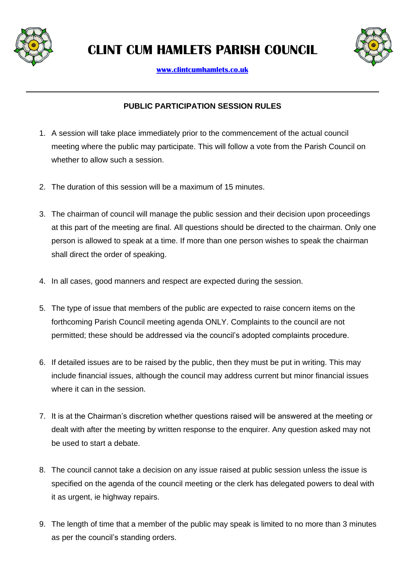

**CLINT CUM HAMLETS PARISH COUNCIL**



**[www.clintcumhamlets.co.uk](http://www.clintcumhamlets.co.uk/)**

## **PUBLIC PARTICIPATION SESSION RULES**

- 1. A session will take place immediately prior to the commencement of the actual council meeting where the public may participate. This will follow a vote from the Parish Council on whether to allow such a session.
- 2. The duration of this session will be a maximum of 15 minutes.
- 3. The chairman of council will manage the public session and their decision upon proceedings at this part of the meeting are final. All questions should be directed to the chairman. Only one person is allowed to speak at a time. If more than one person wishes to speak the chairman shall direct the order of speaking.
- 4. In all cases, good manners and respect are expected during the session.
- 5. The type of issue that members of the public are expected to raise concern items on the forthcoming Parish Council meeting agenda ONLY. Complaints to the council are not permitted; these should be addressed via the council's adopted complaints procedure.
- 6. If detailed issues are to be raised by the public, then they must be put in writing. This may include financial issues, although the council may address current but minor financial issues where it can in the session.
- 7. It is at the Chairman's discretion whether questions raised will be answered at the meeting or dealt with after the meeting by written response to the enquirer. Any question asked may not be used to start a debate.
- 8. The council cannot take a decision on any issue raised at public session unless the issue is specified on the agenda of the council meeting or the clerk has delegated powers to deal with it as urgent, ie highway repairs.
- 9. The length of time that a member of the public may speak is limited to no more than 3 minutes as per the council's standing orders.